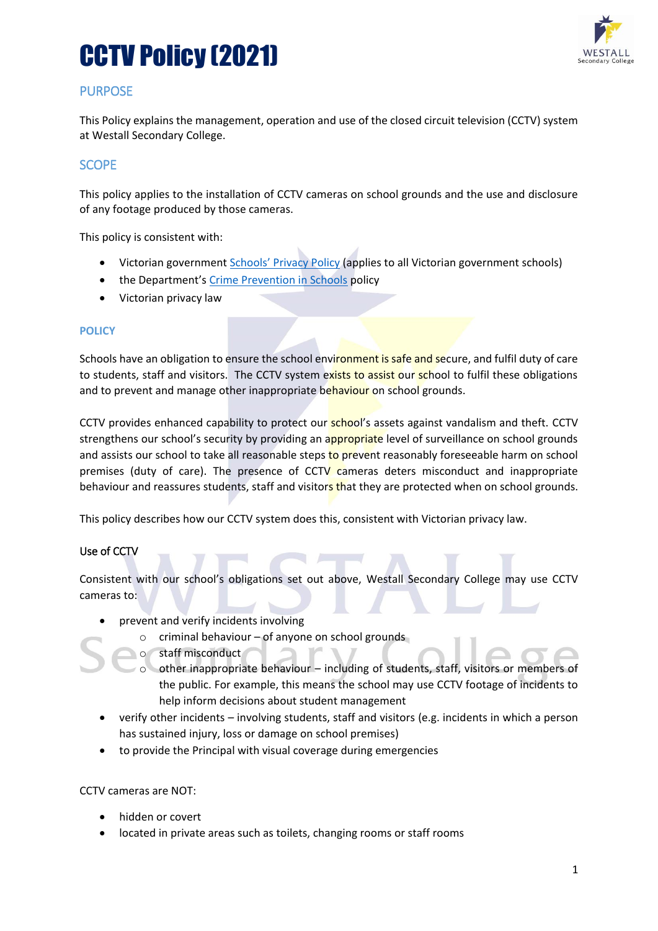# CCTV Policy (2021)



### PURPOSE

This Policy explains the management, operation and use of the closed circuit television (CCTV) system at Westall Secondary College.

### **SCOPE**

This policy applies to the installation of CCTV cameras on school grounds and the use and disclosure of any footage produced by those cameras.

This policy is consistent with:

- Victorian government [Schools' Privacy P](https://www.education.vic.gov.au/Pages/schoolsprivacypolicy.aspx)olicy (applies to all Victorian government schools)
- the Department's [Crime Prevention in Schools](https://www2.education.vic.gov.au/pal/crime-prevention-schools/policy) policy
- Victorian privacy law

#### **POLICY**

Schools have an obligation to ensure the school environment is safe and secure, and fulfil duty of care to students, staff and visitors. The CCTV system exists to assist our school to fulfil these obligations and to prevent and manage other inappropriate behaviour on school grounds.

CCTV provides enhanced capability to protect our **school's** assets against vandalism and theft. CCTV strengthens our school's security by providing an appropriate level of surveillance on school grounds and assists our school to take all reasonable steps to prevent reasonably foreseeable harm on school premises (duty of care). The presence of CCTV cameras deters misconduct and inappropriate behaviour and reassures students, staff and visitors that they are protected when on school grounds.

This policy describes how our CCTV system does this, consistent with Victorian privacy law.

#### Use of CCTV

Consistent with our school's obligations set out above, Westall Secondary College may use CCTV cameras to:

- prevent and verify incidents involving
	- $\circ$  criminal behaviour of anyone on school grounds
	- o staff misconduct
	- o other inappropriate behaviour including of students, staff, visitors or members of the public. For example, this means the school may use CCTV footage of incidents to help inform decisions about student management
- verify other incidents involving students, staff and visitors (e.g. incidents in which a person has sustained injury, loss or damage on school premises)
- to provide the Principal with visual coverage during emergencies

CCTV cameras are NOT:

- hidden or covert
- located in private areas such as toilets, changing rooms or staff rooms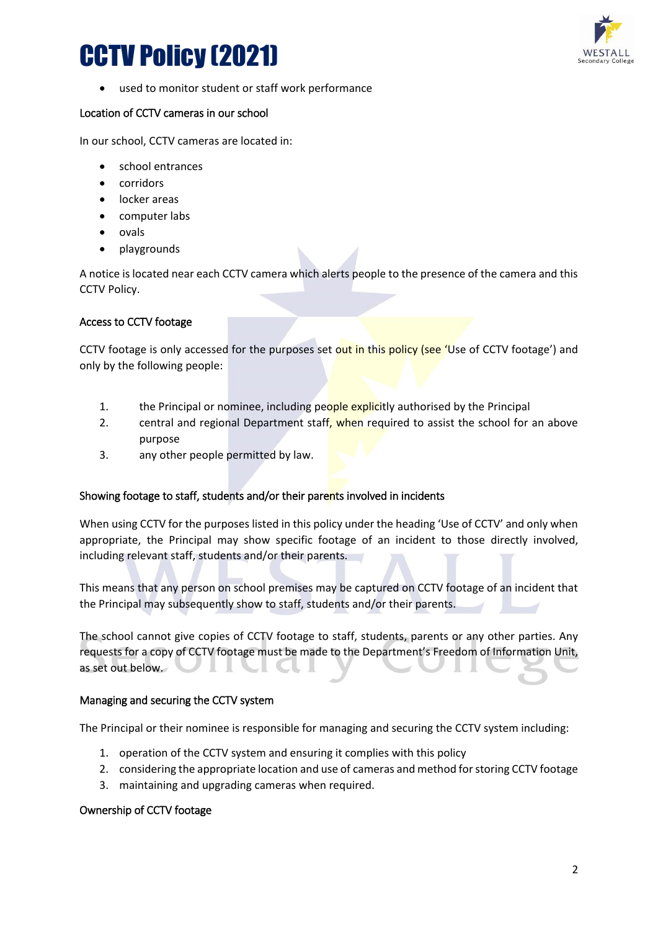# CCTV Policy (2021)



used to monitor student or staff work performance

#### Location of CCTV cameras in our school

In our school, CCTV cameras are located in:

- school entrances
- corridors
- locker areas
- computer labs
- ovals
- playgrounds

A notice is located near each CCTV camera which alerts people to the presence of the camera and this CCTV Policy.

#### Access to CCTV footage

CCTV footage is only accessed for the purposes set out in this policy (see 'Use of CCTV footage') and only by the following people:

- 1. the Principal or nominee, including people explicitly authorised by the Principal
- 2. central and regional Department staff, when required to assist the school for an above purpose
- 3. any other people permitted by law.

#### Showing footage to staff, students and/or their parents involved in incidents

When using CCTV for the purposes listed in this policy under the heading 'Use of CCTV' and only when appropriate, the Principal may show specific footage of an incident to those directly involved, including relevant staff, students and/or their parents.

This means that any person on school premises may be captured on CCTV footage of an incident that the Principal may subsequently show to staff, students and/or their parents.

The school cannot give copies of CCTV footage to staff, students, parents or any other parties. Any requests for a copy of CCTV footage must be made to the Department's Freedom of Information Unit, as set out below.

#### Managing and securing the CCTV system

The Principal or their nominee is responsible for managing and securing the CCTV system including:

- 1. operation of the CCTV system and ensuring it complies with this policy
- 2. considering the appropriate location and use of cameras and method for storing CCTV footage
- 3. maintaining and upgrading cameras when required.

#### Ownership of CCTV footage